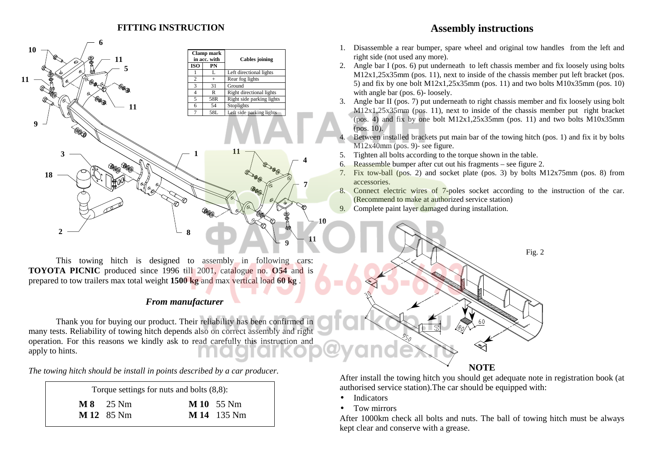### **FITTING INSTRUCTION**



This towing hitch is designed to assembly in following cars: **TOYOTA PICNIC** produced since 1996 till 2001, catalogue no. **O54** and is prepared to tow trailers max total weight **1500 kg** and max vertical load **60 kg** .

### *From manufacturer*

Thank you for buying our product. Their reliability has been confirmed in many tests. Reliability of towing hitch depe[nds also on correct assembly and right](http://magfarkop.ru)  operation. For this reasons we kindly ask to read carefully this instruction and apply to hints.

*The towing hitch should be install in points described by a car producer.*

| Torque settings for nuts and bolts $(8,8)$ : |                                          |                                         |  |
|----------------------------------------------|------------------------------------------|-----------------------------------------|--|
|                                              | $\textbf{M}8$ 25 Nm<br><b>M 12</b> 85 Nm | <b>M 10</b> 55 Nm<br><b>M 14</b> 135 Nm |  |

# **Assembly instructions**

- 1. Disassemble a rear bumper, spare wheel and original tow handles from the left and right side (not used any more).
- 2. Angle bar I (pos. 6) put underneath to left chassis member and fix loosely using bolts M12x1,25x35mm (pos. 11), next to inside of the chassis member put left bracket (pos. 5) and fix by one bolt  $M12x1,25x35mm$  (pos. 11) and two bolts  $M10x35mm$  (pos. 10) with angle bar (pos. 6)-loosely.
- 3. Angle bar II (pos. 7) put underneath to right chassis member and fix loosely using bolt M12x1,25x35mm (pos. 11), next to inside of the chassis member put right bracket (pos. 4) and fix by one bolt  $M12x1,25x35mm$  (pos. 11) and two bolts  $M10x35mm$  $(pos. 10)$ .
- 4. Between installed brackets put main bar of the towing hitch (pos. 1) and fix it by bolts M12x40mm (pos. 9)- see figure.
- 5. Tighten all bolts according to the torque shown in the table.
- 6. Reassemble bumper after cut out his fragments see figure 2.
- 7. Fix tow-ball (pos. 2) and socket plate (pos. 3) by bolts M12x75mm (pos. 8) from accessories.
- 8. Connect electric wires of 7-poles socket according to the instruction of the car. (Recommend to make at authorized service station)
- 9. Complete paint layer damaged during installation.



 After install the towing hitch you should get adequate note in registration book (at authorised service station).The car should be equipped with:

- Indicators
- Tow mirrors

After 1000km check all bolts and nuts. The ball of towing hitch must be always kept clear and conserve with a grease.